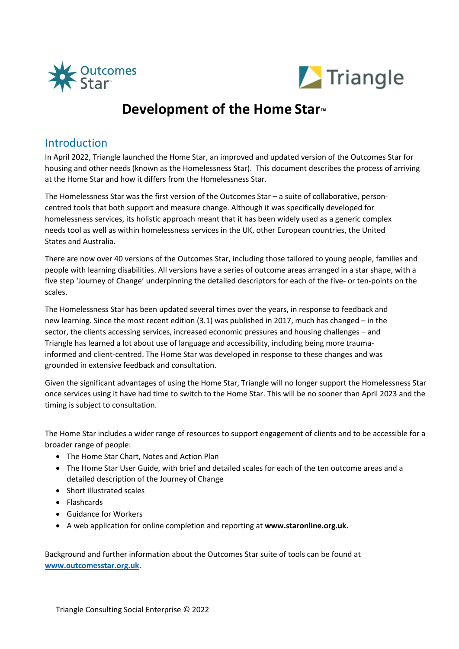



# **Development of the Home Star**™

#### Introduction

In April 2022, Triangle launched the Home Star, an improved and updated version of the Outcomes Star for housing and other needs (known as the Homelessness Star). This document describes the process of arriving at the Home Star and how it differs from the Homelessness Star.

The Homelessness Star was the first version of the Outcomes Star – a suite of collaborative, personcentred tools that both support and measure change. Although it was specifically developed for homelessness services, its holistic approach meant that it has been widely used as a generic complex needs tool as well as within homelessness services in the UK, other European countries, the United States and Australia.

There are now over 40 versions of the Outcomes Star, including those tailored to young people, families and people with learning disabilities. All versions have a series of outcome areas arranged in a star shape, with a five step 'Journey of Change' underpinning the detailed descriptors for each of the five- or ten-points on the scales.

The Homelessness Star has been updated several times over the years, in response to feedback and new learning. Since the most recent edition (3.1) was published in 2017, much has changed – in the sector, the clients accessing services, increased economic pressures and housing challenges – and Triangle has learned a lot about use of language and accessibility, including being more traumainformed and client-centred. The Home Star was developed in response to these changes and was grounded in extensive feedback and consultation.

Given the significant advantages of using the Home Star, Triangle will no longer support the Homelessness Star once services using it have had time to switch to the Home Star. This will be no sooner than April 2023 and the timing is subject to consultation.

The Home Star includes a wider range of resources to support engagement of clients and to be accessible for a broader range of people:

- The Home Star Chart, Notes and Action Plan
- The Home Star User Guide, with brief and detailed scales for each of the ten outcome areas and a detailed description of the Journey of Change
- Short illustrated scales
- Flashcards
- Guidance for Workers
- A web application for online completion and reporting at **www.staronline.org.uk.**

Background and further information about the Outcomes Star suite of tools can be found at **www.outcomesstar.org.uk**.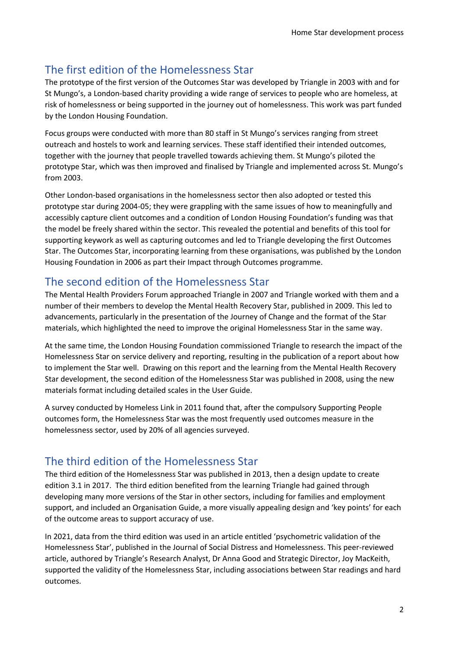# The first edition of the Homelessness Star

The prototype of the first version of the Outcomes Star was developed by Triangle in 2003 with and for St Mungo's, a London-based charity providing a wide range of services to people who are homeless, at risk of homelessness or being supported in the journey out of homelessness. This work was part funded by the London Housing Foundation.

Focus groups were conducted with more than 80 staff in St Mungo's services ranging from street outreach and hostels to work and learning services. These staff identified their intended outcomes, together with the journey that people travelled towards achieving them. St Mungo's piloted the prototype Star, which was then improved and finalised by Triangle and implemented across St. Mungo's from 2003.

Other London-based organisations in the homelessness sector then also adopted or tested this prototype star during 2004-05; they were grappling with the same issues of how to meaningfully and accessibly capture client outcomes and a condition of London Housing Foundation's funding was that the model be freely shared within the sector. This revealed the potential and benefits of this tool for supporting keywork as well as capturing outcomes and led to Triangle developing the first Outcomes Star. The Outcomes Star, incorporating learning from these organisations, was published by the London Housing Foundation in 2006 as part their Impact through Outcomes programme.

#### The second edition of the Homelessness Star

The Mental Health Providers Forum approached Triangle in 2007 and Triangle worked with them and a number of their members to develop the Mental Health Recovery Star, published in 2009. This led to advancements, particularly in the presentation of the Journey of Change and the format of the Star materials, which highlighted the need to improve the original Homelessness Star in the same way.

At the same time, the London Housing Foundation commissioned Triangle to research the impact of the Homelessness Star on service delivery and reporting, resulting in the publication of a report about how to implement the Star well. Drawing on this report and the learning from the Mental Health Recovery Star development, the second edition of the Homelessness Star was published in 2008, using the new materials format including detailed scales in the User Guide.

A survey conducted by Homeless Link in 2011 found that, after the compulsory Supporting People outcomes form, the Homelessness Star was the most frequently used outcomes measure in the homelessness sector, used by 20% of all agencies surveyed.

## The third edition of the Homelessness Star

The third edition of the Homelessness Star was published in 2013, then a design update to create edition 3.1 in 2017. The third edition benefited from the learning Triangle had gained through developing many more versions of the Star in other sectors, including for families and employment support, and included an Organisation Guide, a more visually appealing design and 'key points' for each of the outcome areas to support accuracy of use.

In 2021, data from the third edition was used in an article entitled 'psychometric validation of the Homelessness Star', published in the Journal of Social Distress and Homelessness. This peer-reviewed article, authored by Triangle's Research Analyst, Dr Anna Good and Strategic Director, Joy MacKeith, supported the validity of the Homelessness Star, including associations between Star readings and hard outcomes.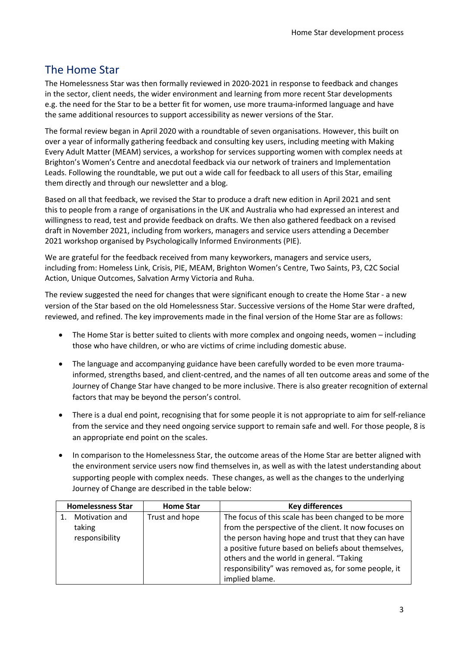## The Home Star

The Homelessness Star was then formally reviewed in 2020-2021 in response to feedback and changes in the sector, client needs, the wider environment and learning from more recent Star developments e.g. the need for the Star to be a better fit for women, use more trauma-informed language and have the same additional resources to support accessibility as newer versions of the Star.

The formal review began in April 2020 with a roundtable of seven organisations. However, this built on over a year of informally gathering feedback and consulting key users, including meeting with Making Every Adult Matter (MEAM) services, a workshop for services supporting women with complex needs at Brighton's Women's Centre and anecdotal feedback via our network of trainers and Implementation Leads. Following the roundtable, we put out a wide call for feedback to all users of this Star, emailing them directly and through our newsletter and a blog.

Based on all that feedback, we revised the Star to produce a draft new edition in April 2021 and sent this to people from a range of organisations in the UK and Australia who had expressed an interest and willingness to read, test and provide feedback on drafts. We then also gathered feedback on a revised draft in November 2021, including from workers, managers and service users attending a December 2021 workshop organised by Psychologically Informed Environments (PIE).

We are grateful for the feedback received from many keyworkers, managers and service users, including from: Homeless Link, Crisis, PIE, MEAM, Brighton Women's Centre, Two Saints, P3, C2C Social Action, Unique Outcomes, Salvation Army Victoria and Ruha.

The review suggested the need for changes that were significant enough to create the Home Star - a new version of the Star based on the old Homelessness Star. Successive versions of the Home Star were drafted, reviewed, and refined. The key improvements made in the final version of the Home Star are as follows:

- The Home Star is better suited to clients with more complex and ongoing needs, women including those who have children, or who are victims of crime including domestic abuse.
- The language and accompanying guidance have been carefully worded to be even more traumainformed, strengths based, and client-centred, and the names of all ten outcome areas and some of the Journey of Change Star have changed to be more inclusive. There is also greater recognition of external factors that may be beyond the person's control.
- There is a dual end point, recognising that for some people it is not appropriate to aim for self-reliance from the service and they need ongoing service support to remain safe and well. For those people, 8 is an appropriate end point on the scales.
- In comparison to the Homelessness Star, the outcome areas of the Home Star are better aligned with the environment service users now find themselves in, as well as with the latest understanding about supporting people with complex needs. These changes, as well as the changes to the underlying Journey of Change are described in the table below:

| <b>Homelessness Star</b> |                                            | <b>Home Star</b> | <b>Key differences</b>                                                                                                                                                                                                                                                                                                         |
|--------------------------|--------------------------------------------|------------------|--------------------------------------------------------------------------------------------------------------------------------------------------------------------------------------------------------------------------------------------------------------------------------------------------------------------------------|
|                          | Motivation and<br>taking<br>responsibility | Trust and hope   | The focus of this scale has been changed to be more<br>from the perspective of the client. It now focuses on<br>the person having hope and trust that they can have<br>a positive future based on beliefs about themselves,<br>others and the world in general. "Taking<br>responsibility" was removed as, for some people, it |
|                          |                                            |                  | implied blame.                                                                                                                                                                                                                                                                                                                 |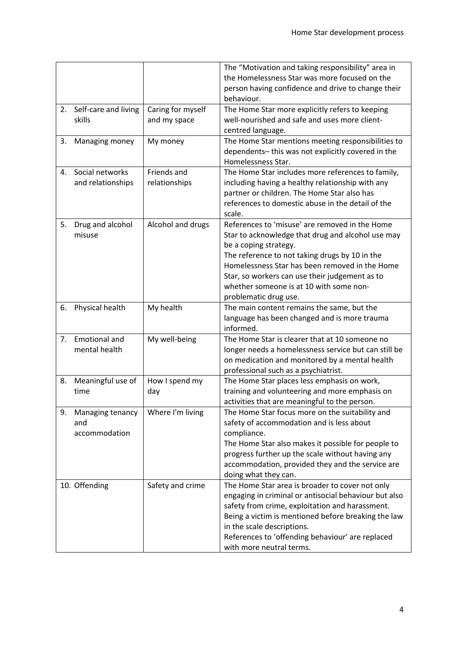|    |                         |                   | The "Motivation and taking responsibility" area in    |
|----|-------------------------|-------------------|-------------------------------------------------------|
|    |                         |                   | the Homelessness Star was more focused on the         |
|    |                         |                   | person having confidence and drive to change their    |
|    |                         |                   | behaviour.                                            |
|    | 2. Self-care and living | Caring for myself | The Home Star more explicitly refers to keeping       |
|    | skills                  | and my space      | well-nourished and safe and uses more client-         |
|    |                         |                   | centred language.                                     |
| 3. | Managing money          | My money          | The Home Star mentions meeting responsibilities to    |
|    |                         |                   | dependents-this was not explicitly covered in the     |
|    |                         |                   | Homelessness Star.                                    |
| 4. | Social networks         | Friends and       | The Home Star includes more references to family,     |
|    | and relationships       | relationships     | including having a healthy relationship with any      |
|    |                         |                   | partner or children. The Home Star also has           |
|    |                         |                   | references to domestic abuse in the detail of the     |
|    |                         |                   | scale.                                                |
| 5. | Drug and alcohol        | Alcohol and drugs | References to 'misuse' are removed in the Home        |
|    | misuse                  |                   | Star to acknowledge that drug and alcohol use may     |
|    |                         |                   | be a coping strategy.                                 |
|    |                         |                   | The reference to not taking drugs by 10 in the        |
|    |                         |                   | Homelessness Star has been removed in the Home        |
|    |                         |                   | Star, so workers can use their judgement as to        |
|    |                         |                   | whether someone is at 10 with some non-               |
|    |                         |                   | problematic drug use.                                 |
| 6. | Physical health         | My health         | The main content remains the same, but the            |
|    |                         |                   | language has been changed and is more trauma          |
|    |                         |                   | informed.                                             |
| 7. | <b>Emotional and</b>    | My well-being     | The Home Star is clearer that at 10 someone no        |
|    | mental health           |                   | longer needs a homelessness service but can still be  |
|    |                         |                   | on medication and monitored by a mental health        |
|    |                         |                   | professional such as a psychiatrist.                  |
| 8. | Meaningful use of       | How I spend my    | The Home Star places less emphasis on work,           |
|    | time                    | day               | training and volunteering and more emphasis on        |
|    |                         |                   | activities that are meaningful to the person.         |
| 9. | Managing tenancy        | Where I'm living  | The Home Star focus more on the suitability and       |
|    | and                     |                   | safety of accommodation and is less about             |
|    | accommodation           |                   | compliance.                                           |
|    |                         |                   | The Home Star also makes it possible for people to    |
|    |                         |                   | progress further up the scale without having any      |
|    |                         |                   | accommodation, provided they and the service are      |
|    |                         |                   | doing what they can.                                  |
|    | 10. Offending           | Safety and crime  | The Home Star area is broader to cover not only       |
|    |                         |                   | engaging in criminal or antisocial behaviour but also |
|    |                         |                   | safety from crime, exploitation and harassment.       |
|    |                         |                   | Being a victim is mentioned before breaking the law   |
|    |                         |                   | in the scale descriptions.                            |
|    |                         |                   | References to 'offending behaviour' are replaced      |
|    |                         |                   | with more neutral terms.                              |